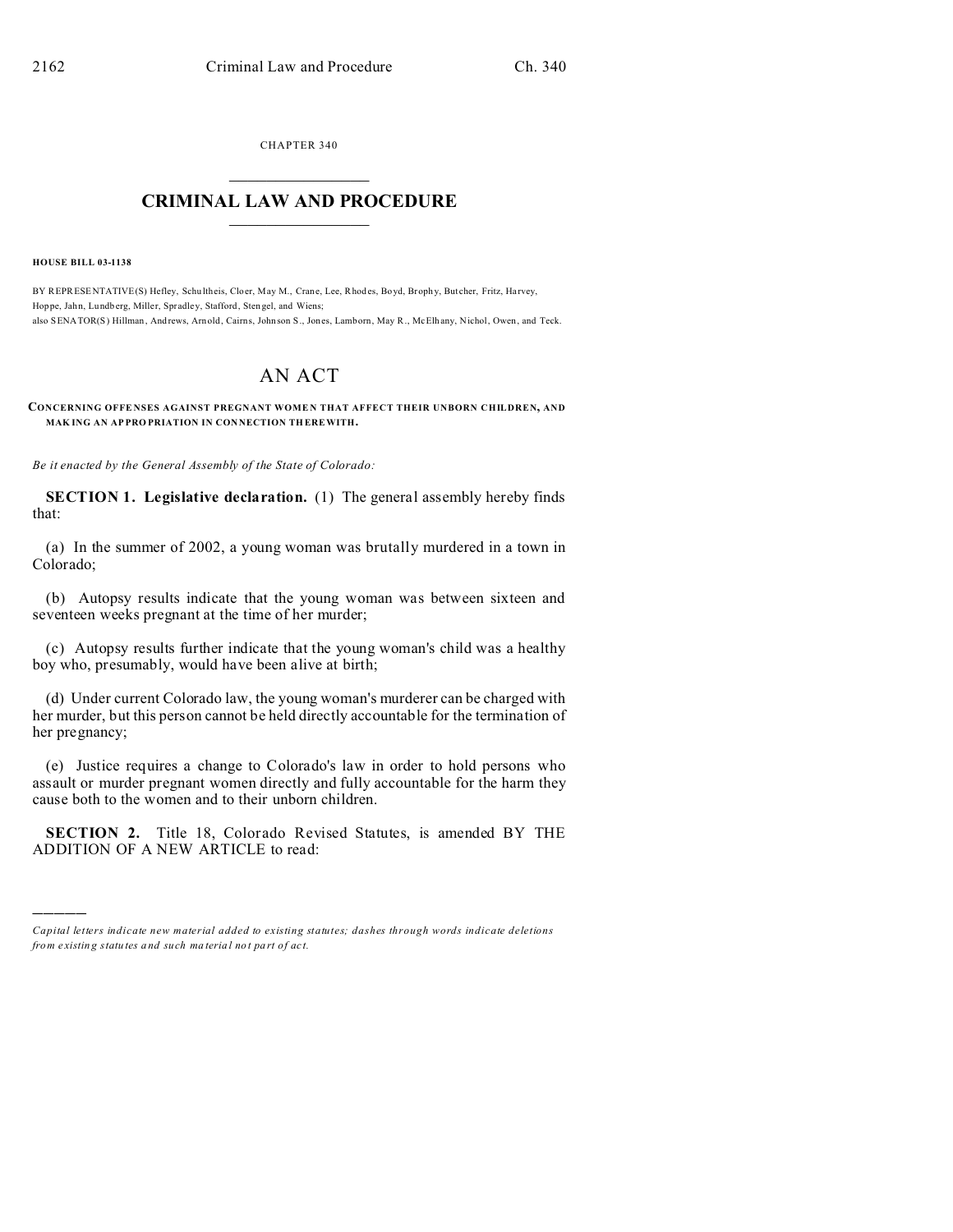CHAPTER 340  $\overline{\phantom{a}}$  , where  $\overline{\phantom{a}}$ 

## **CRIMINAL LAW AND PROCEDURE**  $\_$   $\_$   $\_$   $\_$   $\_$   $\_$   $\_$   $\_$   $\_$

**HOUSE BILL 03-1138**

)))))

BY REPRESENTATIVE(S) Hefley, Schu ltheis, Cloer, May M., Crane, Lee, Rhod es, Boyd, Broph y, But cher, Fritz, Ha rvey, Hoppe, Jahn, Lundb erg, Miller, Spradley, Stafford, Stengel, and Wiens; also SENATOR(S) Hillman , And rews, Arn old, Cairns, John son S., Jones, Lamborn, May R., McElh any, Nichol, Owen, and Teck.

## AN ACT

## **CONCERNING OFFE NSES AGAINST PREGNANT WOME N THAT AFFECT THEIR UNBORN CHILDREN, AND MAKING AN APPROPRIATION IN CONNECTION THEREWITH.**

*Be it enacted by the General Assembly of the State of Colorado:*

**SECTION 1. Legislative declaration.** (1) The general assembly hereby finds that:

(a) In the summer of 2002, a young woman was brutally murdered in a town in Colorado;

(b) Autopsy results indicate that the young woman was between sixteen and seventeen weeks pregnant at the time of her murder;

(c) Autopsy results further indicate that the young woman's child was a healthy boy who, presumably, would have been alive at birth;

(d) Under current Colorado law, the young woman's murderer can be charged with her murder, but this person cannot be held directly accountable for the termination of her pregnancy;

(e) Justice requires a change to Colorado's law in order to hold persons who assault or murder pregnant women directly and fully accountable for the harm they cause both to the women and to their unborn children.

**SECTION 2.** Title 18, Colorado Revised Statutes, is amended BY THE ADDITION OF A NEW ARTICLE to read:

*Capital letters indicate new material added to existing statutes; dashes through words indicate deletions from e xistin g statu tes a nd such ma teria l no t pa rt of ac t.*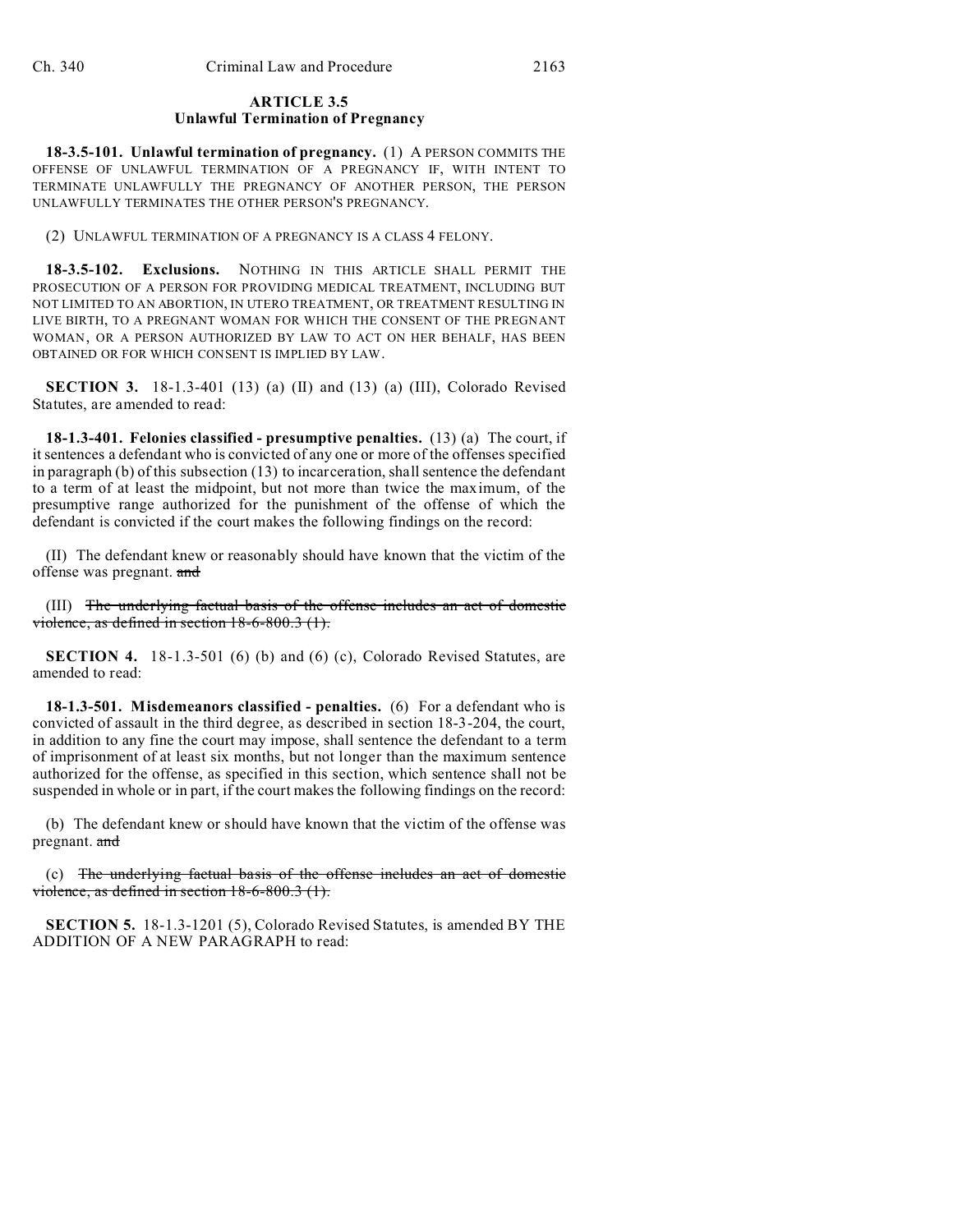## **ARTICLE 3.5 Unlawful Termination of Pregnancy**

**18-3.5-101. Unlawful termination of pregnancy.** (1) A PERSON COMMITS THE OFFENSE OF UNLAWFUL TERMINATION OF A PREGNANCY IF, WITH INTENT TO TERMINATE UNLAWFULLY THE PREGNANCY OF ANOTHER PERSON, THE PERSON UNLAWFULLY TERMINATES THE OTHER PERSON'S PREGNANCY.

(2) UNLAWFUL TERMINATION OF A PREGNANCY IS A CLASS 4 FELONY.

**18-3.5-102. Exclusions.** NOTHING IN THIS ARTICLE SHALL PERMIT THE PROSECUTION OF A PERSON FOR PROVIDING MEDICAL TREATMENT, INCLUDING BUT NOT LIMITED TO AN ABORTION, IN UTERO TREATMENT, OR TREATMENT RESULTING IN LIVE BIRTH, TO A PREGNANT WOMAN FOR WHICH THE CONSENT OF THE PREGNANT WOMAN, OR A PERSON AUTHORIZED BY LAW TO ACT ON HER BEHALF, HAS BEEN OBTAINED OR FOR WHICH CONSENT IS IMPLIED BY LAW.

**SECTION 3.** 18-1.3-401 (13) (a) (II) and (13) (a) (III), Colorado Revised Statutes, are amended to read:

**18-1.3-401. Felonies classified - presumptive penalties.** (13) (a) The court, if it sentences a defendant who is convicted of any one or more of the offenses specified in paragraph (b) of this subsection (13) to incarceration, shall sentence the defendant to a term of at least the midpoint, but not more than twice the maximum, of the presumptive range authorized for the punishment of the offense of which the defendant is convicted if the court makes the following findings on the record:

(II) The defendant knew or reasonably should have known that the victim of the offense was pregnant. and

(III) The underlying factual basis of the offense includes an act of domestic violence, as defined in section 18-6-800.3 (1).

**SECTION 4.** 18-1.3-501 (6) (b) and (6) (c), Colorado Revised Statutes, are amended to read:

**18-1.3-501. Misdemeanors classified - penalties.** (6) For a defendant who is convicted of assault in the third degree, as described in section 18-3-204, the court, in addition to any fine the court may impose, shall sentence the defendant to a term of imprisonment of at least six months, but not longer than the maximum sentence authorized for the offense, as specified in this section, which sentence shall not be suspended in whole or in part, if the court makes the following findings on the record:

(b) The defendant knew or should have known that the victim of the offense was pregnant. and

(c) The underlying factual basis of the offense includes an act of domestic violence, as defined in section 18-6-800.3 (1).

**SECTION 5.** 18-1.3-1201 (5), Colorado Revised Statutes, is amended BY THE ADDITION OF A NEW PARAGRAPH to read: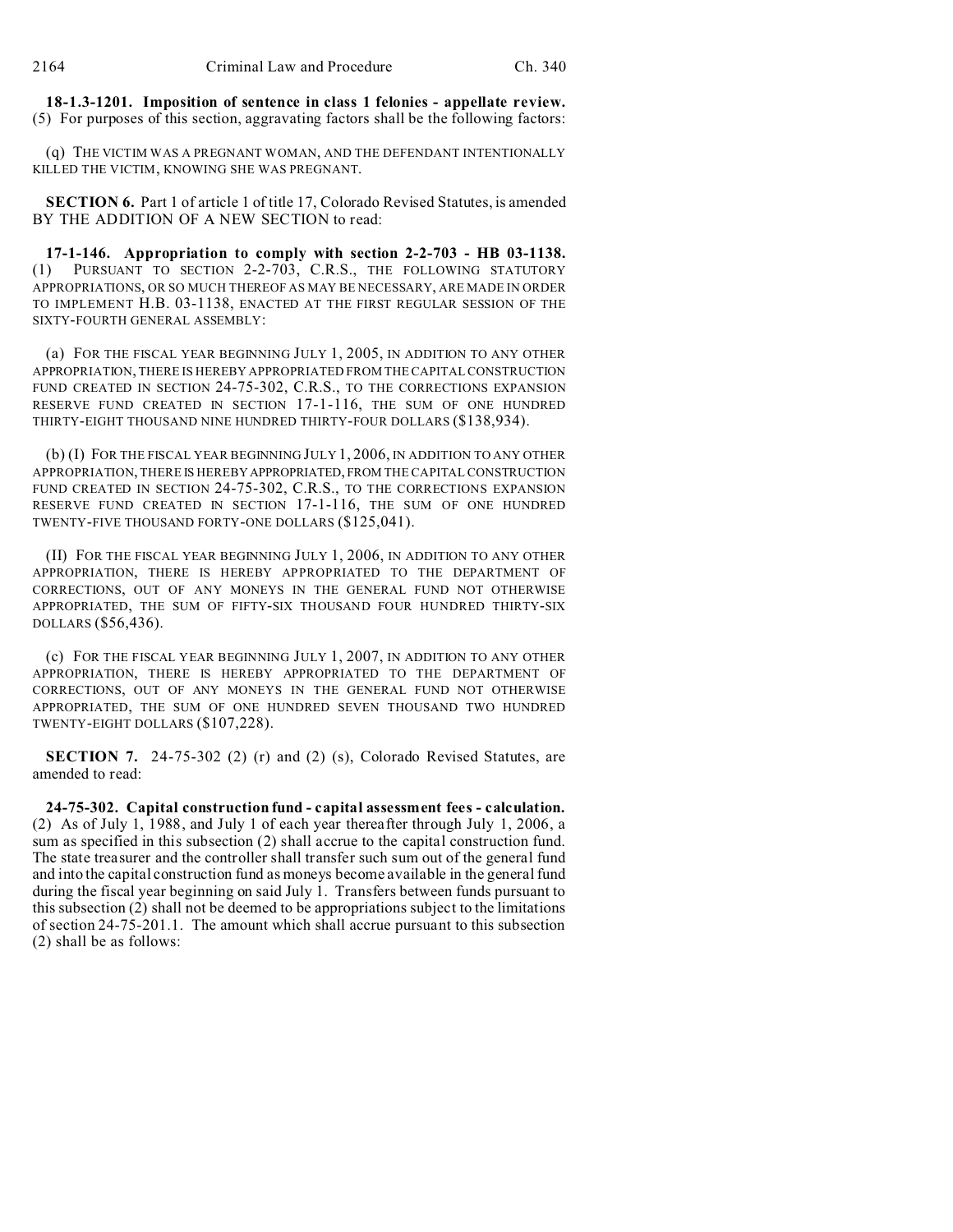**18-1.3-1201. Imposition of sentence in class 1 felonies - appellate review.** (5) For purposes of this section, aggravating factors shall be the following factors:

(q) THE VICTIM WAS A PREGNANT WOMAN, AND THE DEFENDANT INTENTIONALLY KILLED THE VICTIM, KNOWING SHE WAS PREGNANT.

**SECTION 6.** Part 1 of article 1 of title 17, Colorado Revised Statutes, is amended BY THE ADDITION OF A NEW SECTION to read:

**17-1-146. Appropriation to comply with section 2-2-703 - HB 03-1138.** (1) PURSUANT TO SECTION 2-2-703, C.R.S., THE FOLLOWING STATUTORY APPROPRIATIONS, OR SO MUCH THEREOF AS MAY BE NECESSARY, ARE MADE IN ORDER TO IMPLEMENT H.B. 03-1138, ENACTED AT THE FIRST REGULAR SESSION OF THE SIXTY-FOURTH GENERAL ASSEMBLY:

(a) FOR THE FISCAL YEAR BEGINNING JULY 1, 2005, IN ADDITION TO ANY OTHER APPROPRIATION, THERE IS HEREBY APPROPRIATED FROM THE CAPITAL CONSTRUCTION FUND CREATED IN SECTION 24-75-302, C.R.S., TO THE CORRECTIONS EXPANSION RESERVE FUND CREATED IN SECTION 17-1-116, THE SUM OF ONE HUNDRED THIRTY-EIGHT THOUSAND NINE HUNDRED THIRTY-FOUR DOLLARS (\$138,934).

(b) (I) FOR THE FISCAL YEAR BEGINNING JULY 1, 2006, IN ADDITION TO ANY OTHER APPROPRIATION, THERE IS HEREBY APPROPRIATED, FROM THE CAPITAL CONSTRUCTION FUND CREATED IN SECTION 24-75-302, C.R.S., TO THE CORRECTIONS EXPANSION RESERVE FUND CREATED IN SECTION 17-1-116, THE SUM OF ONE HUNDRED TWENTY-FIVE THOUSAND FORTY-ONE DOLLARS (\$125,041).

(II) FOR THE FISCAL YEAR BEGINNING JULY 1, 2006, IN ADDITION TO ANY OTHER APPROPRIATION, THERE IS HEREBY APPROPRIATED TO THE DEPARTMENT OF CORRECTIONS, OUT OF ANY MONEYS IN THE GENERAL FUND NOT OTHERWISE APPROPRIATED, THE SUM OF FIFTY-SIX THOUSAND FOUR HUNDRED THIRTY-SIX DOLLARS (\$56,436).

(c) FOR THE FISCAL YEAR BEGINNING JULY 1, 2007, IN ADDITION TO ANY OTHER APPROPRIATION, THERE IS HEREBY APPROPRIATED TO THE DEPARTMENT OF CORRECTIONS, OUT OF ANY MONEYS IN THE GENERAL FUND NOT OTHERWISE APPROPRIATED, THE SUM OF ONE HUNDRED SEVEN THOUSAND TWO HUNDRED TWENTY-EIGHT DOLLARS (\$107,228).

**SECTION 7.** 24-75-302 (2) (r) and (2) (s), Colorado Revised Statutes, are amended to read:

**24-75-302. Capital construction fund - capital assessment fees - calculation.** (2) As of July 1, 1988, and July 1 of each year thereafter through July 1, 2006, a sum as specified in this subsection (2) shall accrue to the capital construction fund. The state treasurer and the controller shall transfer such sum out of the general fund and into the capital construction fund as moneys become available in the general fund during the fiscal year beginning on said July 1. Transfers between funds pursuant to this subsection (2) shall not be deemed to be appropriations subject to the limitations of section 24-75-201.1. The amount which shall accrue pursuant to this subsection (2) shall be as follows: